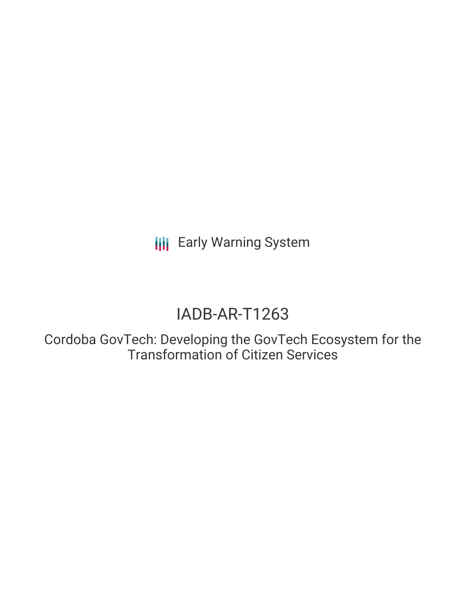**III** Early Warning System

# IADB-AR-T1263

Cordoba GovTech: Developing the GovTech Ecosystem for the Transformation of Citizen Services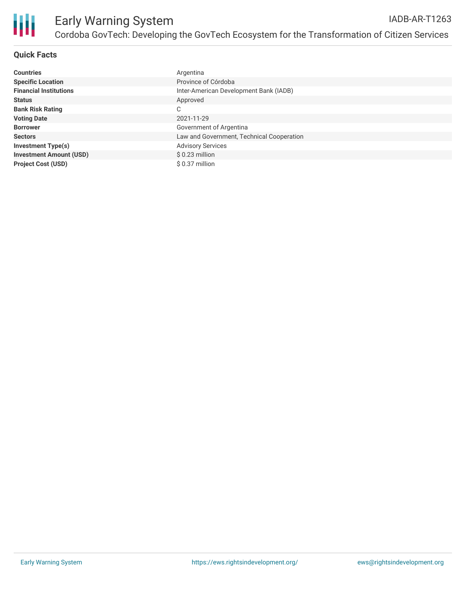

## **Quick Facts**

| <b>Countries</b>               | Argentina                                 |
|--------------------------------|-------------------------------------------|
| <b>Specific Location</b>       | Province of Córdoba                       |
| <b>Financial Institutions</b>  | Inter-American Development Bank (IADB)    |
| <b>Status</b>                  | Approved                                  |
| <b>Bank Risk Rating</b>        | C                                         |
| <b>Voting Date</b>             | 2021-11-29                                |
| <b>Borrower</b>                | Government of Argentina                   |
| <b>Sectors</b>                 | Law and Government, Technical Cooperation |
| <b>Investment Type(s)</b>      | <b>Advisory Services</b>                  |
| <b>Investment Amount (USD)</b> | $$0.23$ million                           |
| <b>Project Cost (USD)</b>      | \$ 0.37 million                           |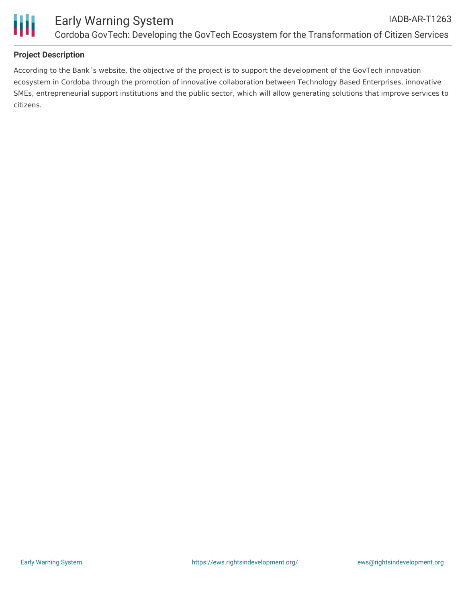

## **Project Description**

According to the Bank´s website, the objective of the project is to support the development of the GovTech innovation ecosystem in Cordoba through the promotion of innovative collaboration between Technology Based Enterprises, innovative SMEs, entrepreneurial support institutions and the public sector, which will allow generating solutions that improve services to citizens.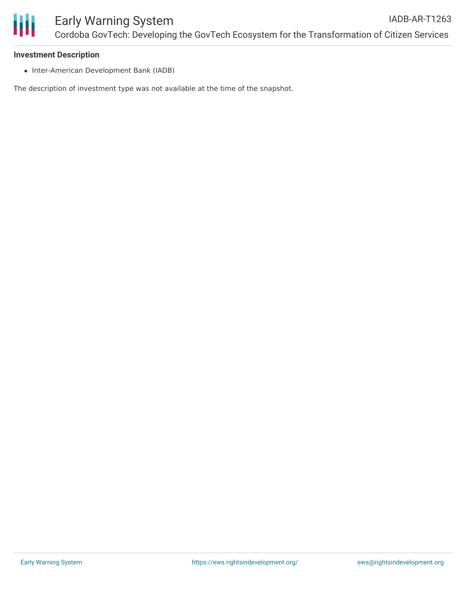

#### **Investment Description**

• Inter-American Development Bank (IADB)

The description of investment type was not available at the time of the snapshot.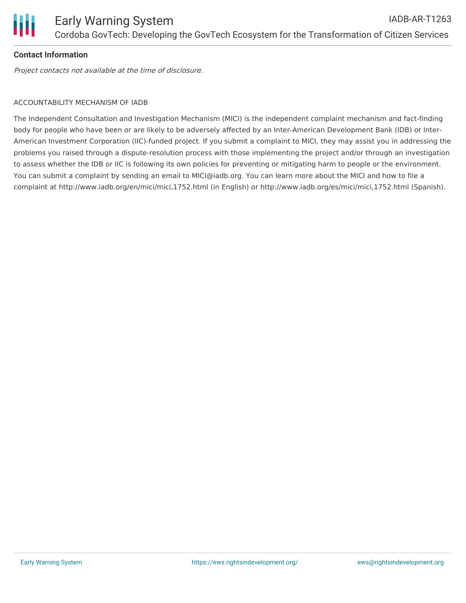

# **Contact Information**

Project contacts not available at the time of disclosure.

# ACCOUNTABILITY MECHANISM OF IADB

The Independent Consultation and Investigation Mechanism (MICI) is the independent complaint mechanism and fact-finding body for people who have been or are likely to be adversely affected by an Inter-American Development Bank (IDB) or Inter-American Investment Corporation (IIC)-funded project. If you submit a complaint to MICI, they may assist you in addressing the problems you raised through a dispute-resolution process with those implementing the project and/or through an investigation to assess whether the IDB or IIC is following its own policies for preventing or mitigating harm to people or the environment. You can submit a complaint by sending an email to MICI@iadb.org. You can learn more about the MICI and how to file a complaint at http://www.iadb.org/en/mici/mici,1752.html (in English) or http://www.iadb.org/es/mici/mici,1752.html (Spanish).